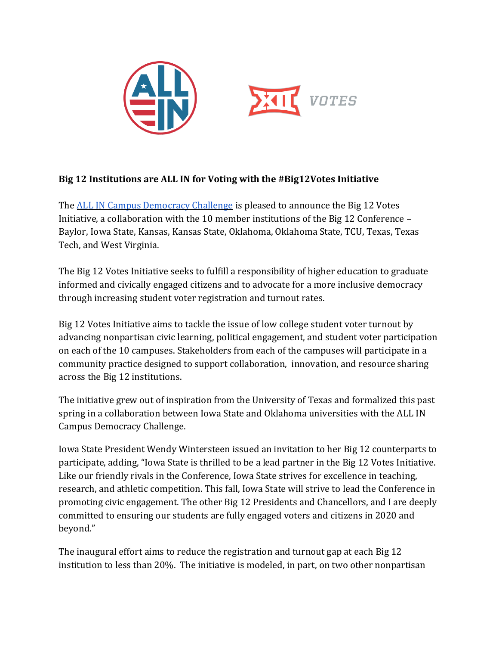



## **Big 12 Institutions are ALL IN for Voting with the #Big12Votes Initiative**

The **ALL IN Campus Democracy Challenge** is pleased to announce the Big 12 Votes Initiative, a collaboration with the 10 member institutions of the Big 12 Conference – Baylor, Iowa State, Kansas, Kansas State, Oklahoma, Oklahoma State, TCU, Texas, Texas Tech, and West Virginia.

The Big 12 Votes Initiative seeks to fulfill a responsibility of higher education to graduate informed and civically engaged citizens and to advocate for a more inclusive democracy through increasing student voter registration and turnout rates.

Big 12 Votes Initiative aims to tackle the issue of low college student voter turnout by advancing nonpartisan civic learning, political engagement, and student voter participation on each of the 10 campuses. Stakeholders from each of the campuses will participate in a community practice designed to support collaboration, innovation, and resource sharing across the Big 12 institutions.

The initiative grew out of inspiration from the University of Texas and formalized this past spring in a collaboration between Iowa State and Oklahoma universities with the ALL IN Campus Democracy Challenge.

Iowa State President Wendy Wintersteen issued an invitation to her Big 12 counterparts to participate, adding, "Iowa State is thrilled to be a lead partner in the Big 12 Votes Initiative. Like our friendly rivals in the Conference, Iowa State strives for excellence in teaching, research, and athletic competition. This fall, Iowa State will strive to lead the Conference in promoting civic engagement. The other Big 12 Presidents and Chancellors, and I are deeply committed to ensuring our students are fully engaged voters and citizens in 2020 and beyond."

The inaugural effort aims to reduce the registration and turnout gap at each Big 12 institution to less than 20%. The initiative is modeled, in part, on two other nonpartisan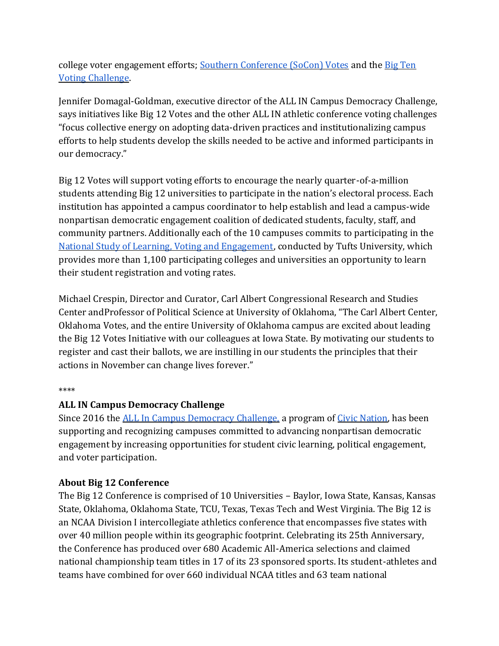college voter engagement efforts; [Southern Conference \(SoCon\) Votes](https://www.soconvotes.com/) and the [Big Ten](https://allintovote.org/bigten/)  [Voting Challenge.](https://allintovote.org/bigten/)

Jennifer Domagal-Goldman, executive director of the ALL IN Campus Democracy Challenge, says initiatives like Big 12 Votes and the other ALL IN athletic conference voting challenges "focus collective energy on adopting data-driven practices and institutionalizing campus efforts to help students develop the skills needed to be active and informed participants in our democracy."

Big 12 Votes will support voting efforts to encourage the nearly quarter-of-a-million students attending Big 12 universities to participate in the nation's electoral process. Each institution has appointed a campus coordinator to help establish and lead a campus-wide nonpartisan democratic engagement coalition of dedicated students, faculty, staff, and community partners. Additionally each of the 10 campuses commits to participating in the [National Study of Learning, Voting and Engagement,](https://idhe.tufts.edu/nslve) conducted by Tufts University, which provides more than 1,100 participating colleges and universities an opportunity to learn their student registration and voting rates.

Michael Crespin, Director and Curator, Carl Albert Congressional Research and Studies Center andProfessor of Political Science at University of Oklahoma, "The Carl Albert Center, Oklahoma Votes, and the entire University of Oklahoma campus are excited about leading the Big 12 Votes Initiative with our colleagues at Iowa State. By motivating our students to register and cast their ballots, we are instilling in our students the principles that their actions in November can change lives forever."

## \*\*\*\*

## **ALL IN Campus Democracy Challenge**

Since 2016 the [ALL In Campus Democracy Challenge,](https://www.allinchallenge.org/) a program of [Civic Nation,](https://civicnation.org/) has been supporting and recognizing campuses committed to advancing nonpartisan democratic engagement by increasing opportunities for student civic learning, political engagement, and voter participation.

## **About Big 12 Conference**

The Big 12 Conference is comprised of 10 Universities – Baylor, Iowa State, Kansas, Kansas State, Oklahoma, Oklahoma State, TCU, Texas, Texas Tech and West Virginia. The Big 12 is an NCAA Division I intercollegiate athletics conference that encompasses five states with over 40 million people within its geographic footprint. Celebrating its 25th Anniversary, the Conference has produced over 680 Academic All-America selections and claimed national championship team titles in 17 of its 23 sponsored sports. Its student-athletes and teams have combined for over 660 individual NCAA titles and 63 team national